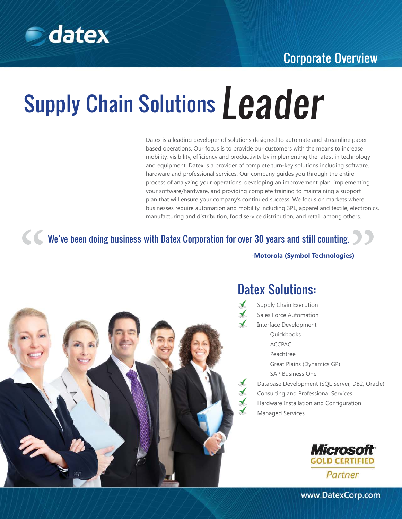

### Corporate Overview

# Supply Chain Solutions Leader

Datex is a leading developer of solutions designed to automate and streamline paperbased operations. Our focus is to provide our customers with the means to increase mobility, visibility, efficiency and productivity by implementing the latest in technology and equipment. Datex is a provider of complete turn-key solutions including software, hardware and professional services. Our company guides you through the entire process of analyzing your operations, developing an improvement plan, implementing your software/hardware, and providing complete training to maintaining a support plan that will ensure your company's continued success. We focus on markets where businesses require automation and mobility including 3PL, apparel and textile, electronics, manufacturing and distribution, food service distribution, and retail, among others.

K K We've been doing business with Datex Corporation for over 30 years and still counting.

**-Motorola (Symbol Technologies)**



## Datex Solutions:

Supply Chain Execution Sales Force Automation Interface Development Quickbooks ACCPAC Peachtree Great Plains (Dynamics GP) SAP Business One Database Development (SQL Server, DB2, Oracle) Consulting and Professional Services Hardware Installation and Configuration Managed Services



www.DatexCorp.com